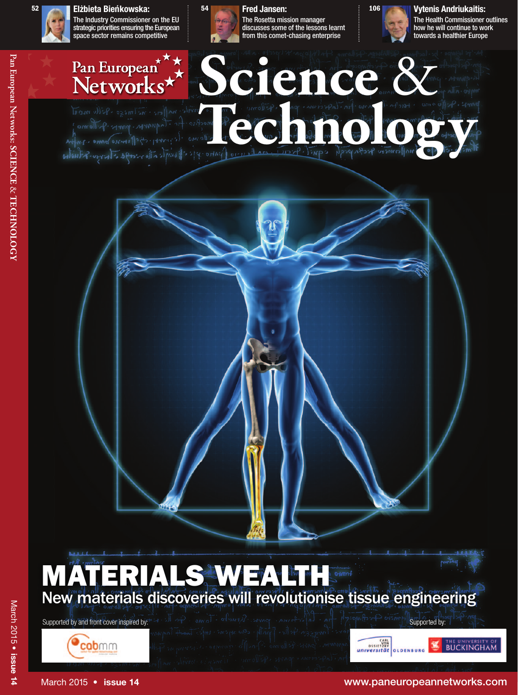## **Elz˙bieta Bien´ kowska: 52 54 Fred Jansen:**



The Industry Commissioner on the EU strategic priorities ensuring the European space sector remains competitive



The Rosetta mission manager discusses some of the lessons learnt from this comet-chasing enterprise



The Health Commissioner outlines how he will continue to work towards a healthier Europe





Supported by and front cover inspired by:





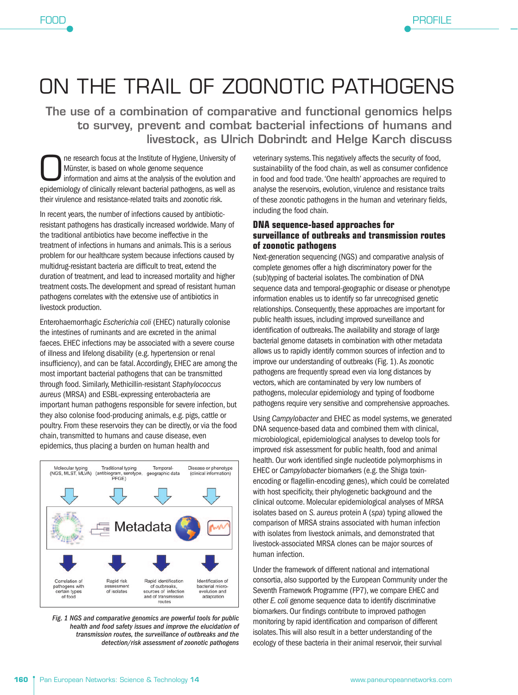## ON THE TRAIL OF ZOONOTIC PATHOGENS

The use of a combination of comparative and functional genomics helps **to survey, prevent and combat bacterial infections of humans and livestock, as Ulrich Dobrindt and Helge Karch discuss**

One research focus at the Institute of Hygiene, University of Münster, is based on whole genome sequence information and aims at the analysis of the evolution and epidemiology of clinically relevant bacterial pathogens, as Münster, is based on whole genome sequence information and aims at the analysis of the evolution and epidemiology of clinically relevant bacterial pathogens, as well as their virulence and resistance-related traits and zoonotic risk.

In recent years, the number of infections caused by antibioticresistant pathogens has drastically increased worldwide. Many of the traditional antibiotics have become ineffective in the treatment of infections in humans and animals. This is a serious problem for our healthcare system because infections caused by multidrug-resistant bacteria are difficult to treat, extend the duration of treatment, and lead to increased mortality and higher treatment costs. The development and spread of resistant human pathogens correlates with the extensive use of antibiotics in livestock production.

Enterohaemorrhagic Escherichia coli (EHEC) naturally colonise the intestines of ruminants and are excreted in the animal faeces. EHEC infections may be associated with a severe course of illness and lifelong disability (e.g. hypertension or renal insufficiency), and can be fatal. Accordingly, EHEC are among the most important bacterial pathogens that can be transmitted through food. Similarly, Methicillin-resistant Staphylococcus aureus (MRSA) and ESBL-expressing enterobacteria are important human pathogens responsible for severe infection, but they also colonise food-producing animals, e.g. pigs, cattle or poultry. From these reservoirs they can be directly, or via the food chain, transmitted to humans and cause disease, even epidemics, thus placing a burden on human health and



Fig. 1 NGS and comparative genomics are powerful tools for public health and food safety issues and improve the elucidation of transmission routes, the surveillance of outbreaks and the detection/risk assessment of zoonotic pathogens

veterinary systems. This negatively affects the security of food, sustainability of the food chain, as well as consumer confidence in food and food trade. 'One health' approaches are required to analyse the reservoirs, evolution, virulence and resistance traits of these zoonotic pathogens in the human and veterinary fields, including the food chain.

<u>Profile Service</u>

**PROFILE** 

## **DNA sequence-based approaches for surveillance of outbreaks and transmission routes of zoonotic pathogens**

Next-generation sequencing (NGS) and comparative analysis of complete genomes offer a high discriminatory power for the (sub)typing of bacterial isolates. The combination of DNA sequence data and temporal-geographic or disease or phenotype information enables us to identify so far unrecognised genetic relationships. Consequently, these approaches are important for public health issues, including improved surveillance and identification of outbreaks. The availability and storage of large bacterial genome datasets in combination with other metadata allows us to rapidly identify common sources of infection and to improve our understanding of outbreaks (Fig. 1). As zoonotic pathogens are frequently spread even via long distances by vectors, which are contaminated by very low numbers of pathogens, molecular epidemiology and typing of foodborne pathogens require very sensitive and comprehensive approaches.

Using Campylobacter and EHEC as model systems, we generated DNA sequence-based data and combined them with clinical, microbiological, epidemiological analyses to develop tools for improved risk assessment for public health, food and animal health. Our work identified single nucleotide polymorphisms in EHEC or Campylobacter biomarkers (e.g. the Shiga toxinencoding or flagellin-encoding genes), which could be correlated with host specificity, their phylogenetic background and the clinical outcome. Molecular epidemiological analyses of MRSA isolates based on S. aureus protein A (spa) typing allowed the comparison of MRSA strains associated with human infection with isolates from livestock animals, and demonstrated that livestock-associated MRSA clones can be major sources of human infection.

Under the framework of different national and international consortia, also supported by the European Community under the Seventh Framework Programme (FP7), we compare EHEC and other E. coli genome sequence data to identify discriminative biomarkers. Our findings contribute to improved pathogen monitoring by rapid identification and comparison of different isolates. This will also result in a better understanding of the ecology of these bacteria in their animal reservoir, their survival